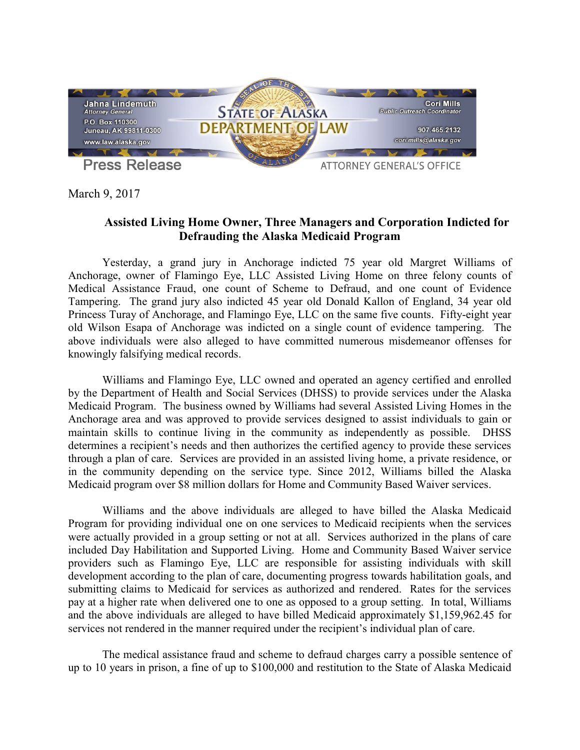

March 9, 2017

## **Assisted Living Home Owner, Three Managers and Corporation Indicted for Defrauding the Alaska Medicaid Program**

Yesterday, a grand jury in Anchorage indicted 75 year old Margret Williams of Anchorage, owner of Flamingo Eye, LLC Assisted Living Home on three felony counts of Medical Assistance Fraud, one count of Scheme to Defraud, and one count of Evidence Tampering. The grand jury also indicted 45 year old Donald Kallon of England, 34 year old Princess Turay of Anchorage, and Flamingo Eye, LLC on the same five counts. Fifty-eight year old Wilson Esapa of Anchorage was indicted on a single count of evidence tampering. The above individuals were also alleged to have committed numerous misdemeanor offenses for knowingly falsifying medical records.

Williams and Flamingo Eye, LLC owned and operated an agency certified and enrolled by the Department of Health and Social Services (DHSS) to provide services under the Alaska Medicaid Program. The business owned by Williams had several Assisted Living Homes in the Anchorage area and was approved to provide services designed to assist individuals to gain or maintain skills to continue living in the community as independently as possible. DHSS determines a recipient's needs and then authorizes the certified agency to provide these services through a plan of care. Services are provided in an assisted living home, a private residence, or in the community depending on the service type. Since 2012, Williams billed the Alaska Medicaid program over \$8 million dollars for Home and Community Based Waiver services.

Williams and the above individuals are alleged to have billed the Alaska Medicaid Program for providing individual one on one services to Medicaid recipients when the services were actually provided in a group setting or not at all. Services authorized in the plans of care included Day Habilitation and Supported Living. Home and Community Based Waiver service providers such as Flamingo Eye, LLC are responsible for assisting individuals with skill development according to the plan of care, documenting progress towards habilitation goals, and submitting claims to Medicaid for services as authorized and rendered. Rates for the services pay at a higher rate when delivered one to one as opposed to a group setting. In total, Williams and the above individuals are alleged to have billed Medicaid approximately \$1,159,962.45 for services not rendered in the manner required under the recipient's individual plan of care.

The medical assistance fraud and scheme to defraud charges carry a possible sentence of up to 10 years in prison, a fine of up to \$100,000 and restitution to the State of Alaska Medicaid